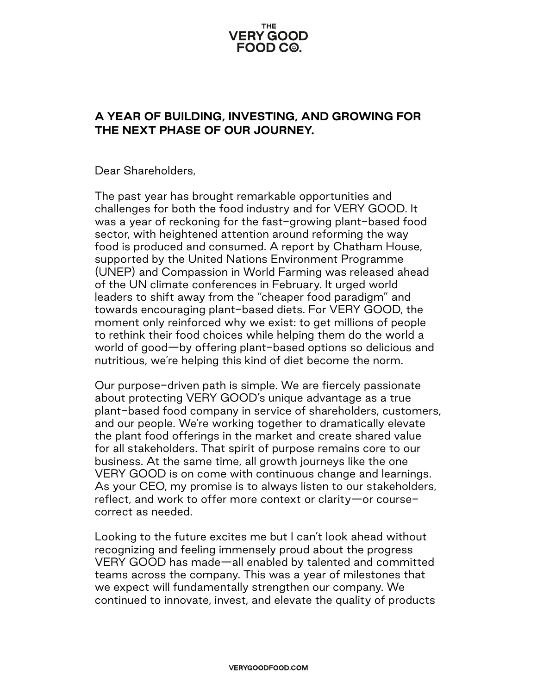## **THE VERY GOOD** FOOD C<sup>@</sup>.

## **A YEAR OF BUILDING, INVESTING, AND GROWING FOR THE NEXT PHASE OF OUR JOURNEY.**

Dear Shareholders,

The past year has brought remarkable opportunities and challenges for both the food industry and for VERY GOOD. It was a year of reckoning for the fast-growing plant-based food sector, with heightened attention around reforming the way food is produced and consumed. A report by Chatham House, supported by the United Nations Environment Programme (UNEP) and Compassion in World Farming was released ahead of the UN climate conferences in February. It urged world leaders to shift away from the "cheaper food paradigm" and towards encouraging plant-based diets. For VERY GOOD, the moment only reinforced why we exist: to get millions of people to rethink their food choices while helping them do the world a world of good—by offering plant-based options so delicious and nutritious, we're helping this kind of diet become the norm.

Our purpose-driven path is simple. We are fiercely passionate about protecting VERY GOOD's unique advantage as a true plant-based food company in service of shareholders, customers, and our people. We're working together to dramatically elevate the plant food offerings in the market and create shared value for all stakeholders. That spirit of purpose remains core to our business. At the same time, all growth journeys like the one VERY GOOD is on come with continuous change and learnings. As your CEO, my promise is to always listen to our stakeholders, reflect, and work to offer more context or clarity—or coursecorrect as needed.

Looking to the future excites me but I can't look ahead without recognizing and feeling immensely proud about the progress VERY GOOD has made—all enabled by talented and committed teams across the company. This was a year of milestones that we expect will fundamentally strengthen our company. We continued to innovate, invest, and elevate the quality of products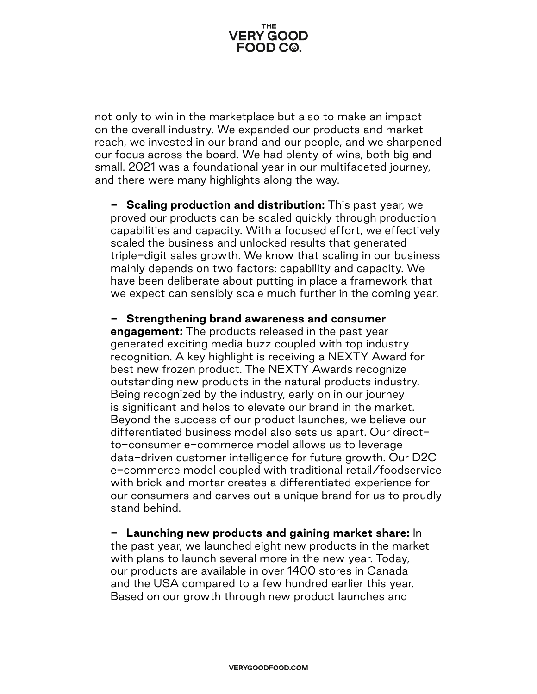

not only to win in the marketplace but also to make an impact on the overall industry. We expanded our products and market reach, we invested in our brand and our people, and we sharpened our focus across the board. We had plenty of wins, both big and small. 2021 was a foundational year in our multifaceted journey, and there were many highlights along the way.

**- Scaling production and distribution:** This past year, we proved our products can be scaled quickly through production capabilities and capacity. With a focused effort, we effectively scaled the business and unlocked results that generated triple-digit sales growth. We know that scaling in our business mainly depends on two factors: capability and capacity. We have been deliberate about putting in place a framework that we expect can sensibly scale much further in the coming year.

**- Strengthening brand awareness and consumer** 

**engagement:** The products released in the past year generated exciting media buzz coupled with top industry recognition. A key highlight is receiving a NEXTY Award for best new frozen product. The NEXTY Awards recognize outstanding new products in the natural products industry. Being recognized by the industry, early on in our journey is significant and helps to elevate our brand in the market. Beyond the success of our product launches, we believe our differentiated business model also sets us apart. Our directto-consumer e-commerce model allows us to leverage data-driven customer intelligence for future growth. Our D2C e-commerce model coupled with traditional retail/foodservice with brick and mortar creates a differentiated experience for our consumers and carves out a unique brand for us to proudly stand behind.

**- Launching new products and gaining market share:** In the past year, we launched eight new products in the market with plans to launch several more in the new year. Today, our products are available in over 1400 stores in Canada and the USA compared to a few hundred earlier this year. Based on our growth through new product launches and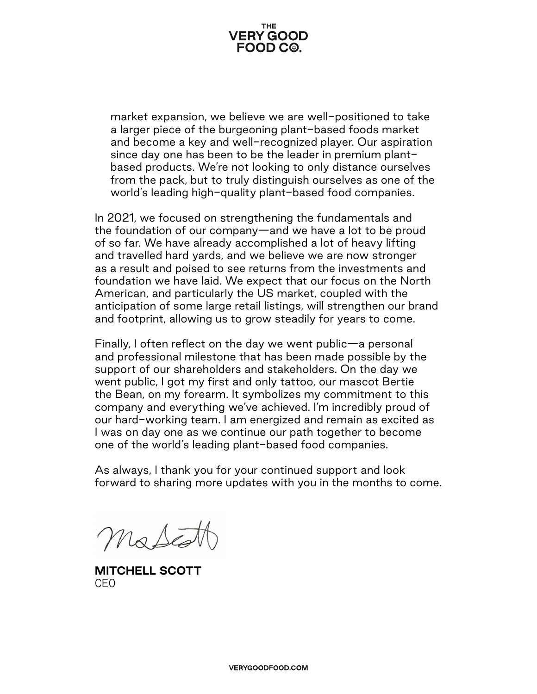

market expansion, we believe we are well-positioned to take a larger piece of the burgeoning plant-based foods market and become a key and well-recognized player. Our aspiration since day one has been to be the leader in premium plantbased products. We're not looking to only distance ourselves from the pack, but to truly distinguish ourselves as one of the world's leading high-quality plant-based food companies.

In 2021, we focused on strengthening the fundamentals and the foundation of our company—and we have a lot to be proud of so far. We have already accomplished a lot of heavy lifting and travelled hard yards, and we believe we are now stronger as a result and poised to see returns from the investments and foundation we have laid. We expect that our focus on the North American, and particularly the US market, coupled with the anticipation of some large retail listings, will strengthen our brand and footprint, allowing us to grow steadily for years to come.

Finally, I often reflect on the day we went public—a personal and professional milestone that has been made possible by the support of our shareholders and stakeholders. On the day we went public, I got my first and only tattoo, our mascot Bertie the Bean, on my forearm. It symbolizes my commitment to this company and everything we've achieved. I'm incredibly proud of our hard-working team. I am energized and remain as excited as I was on day one as we continue our path together to become one of the world's leading plant-based food companies.

As always, I thank you for your continued support and look forward to sharing more updates with you in the months to come.

MaSto

**MITCHELL SCOTT** CEO